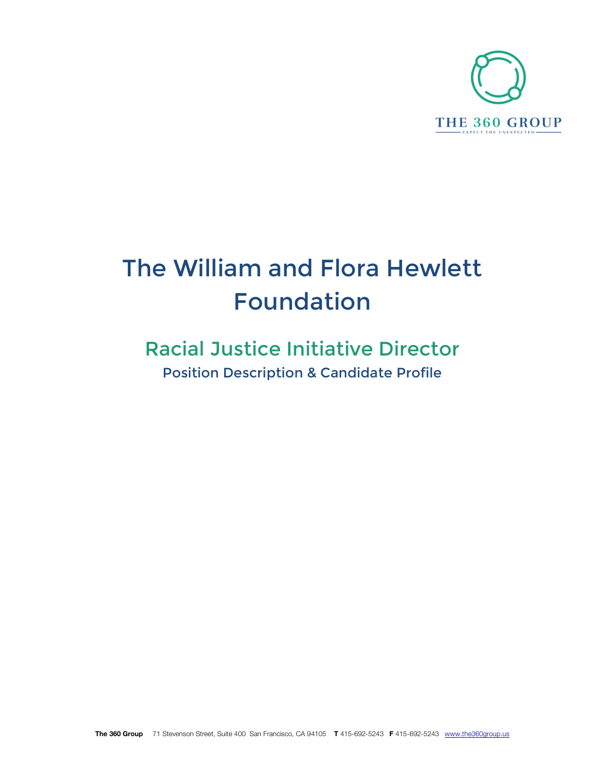

# The William and Flora Hewlett Foundation

## Racial Justice Initiative Director Position Description & Candidate Profile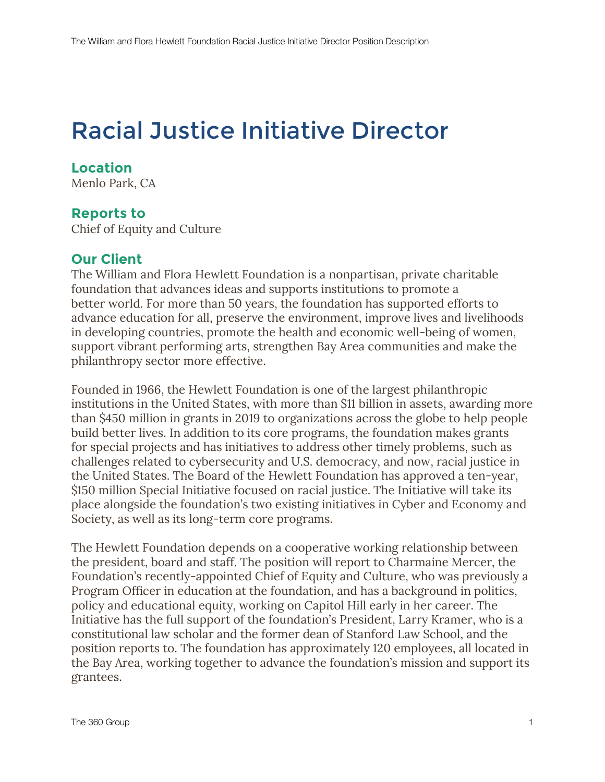## Racial Justice Initiative Director

### **Location**

Menlo Park, CA

#### **Reports to**

Chief of Equity and Culture

#### **Our Client**

The William and Flora Hewlett Foundation is a nonpartisan, private charitable foundation that advances ideas and supports institutions to promote a better world. For more than 50 years, the foundation has supported efforts to advance education for all, preserve the environment, improve lives and livelihoods in developing countries, promote the health and economic well-being of women, support vibrant performing arts, strengthen Bay Area communities and make the philanthropy sector more effective.

Founded in 1966, the Hewlett Foundation is one of the largest philanthropic institutions in the United States, with more than \$11 billion in assets, awarding more than \$450 million in grants in 2019 to organizations across the globe to help people build better lives. In addition to its core programs, the foundation makes grants for special projects and has initiatives to address other timely problems, such as challenges related to cybersecurity and U.S. democracy, and now, racial justice in the United States. The Board of the Hewlett Foundation has approved a ten-year, \$150 million Special Initiative focused on racial justice. The Initiative will take its place alongside the foundation's two existing initiatives in Cyber and Economy and Society, as well as its long-term core programs.

The Hewlett Foundation depends on a cooperative working relationship between the president, board and staff. The position will report to Charmaine Mercer, the Foundation's recently-appointed Chief of Equity and Culture, who was previously a Program Officer in education at the foundation, and has a background in politics, policy and educational equity, working on Capitol Hill early in her career. The Initiative has the full support of the foundation's President, Larry Kramer, who is a constitutional law scholar and the former dean of Stanford Law School, and the position reports to. The foundation has approximately 120 employees, all located in the Bay Area, working together to advance the foundation's mission and support its grantees.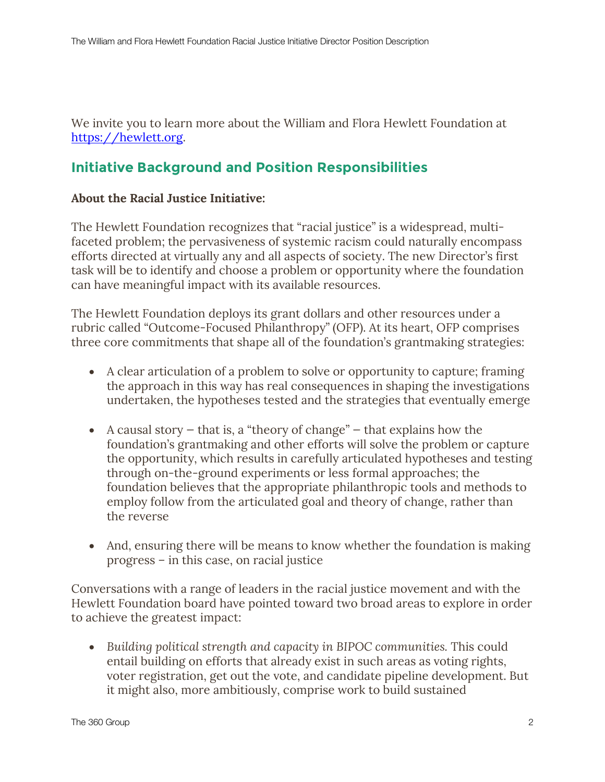We invite you to learn more about the William and Flora Hewlett Foundation at https://hewlett.org.

## **Initiative Background and Position Responsibilities**

#### **About the Racial Justice Initiative:**

The Hewlett Foundation recognizes that "racial justice" is a widespread, multifaceted problem; the pervasiveness of systemic racism could naturally encompass efforts directed at virtually any and all aspects of society. The new Director's first task will be to identify and choose a problem or opportunity where the foundation can have meaningful impact with its available resources.

The Hewlett Foundation deploys its grant dollars and other resources under a rubric called "Outcome-Focused Philanthropy" (OFP). At its heart, OFP comprises three core commitments that shape all of the foundation's grantmaking strategies:

- A clear articulation of a problem to solve or opportunity to capture; framing the approach in this way has real consequences in shaping the investigations undertaken, the hypotheses tested and the strategies that eventually emerge
- A causal story  $-$  that is, a "theory of change"  $-$  that explains how the foundation's grantmaking and other efforts will solve the problem or capture the opportunity, which results in carefully articulated hypotheses and testing through on-the-ground experiments or less formal approaches; the foundation believes that the appropriate philanthropic tools and methods to employ follow from the articulated goal and theory of change, rather than the reverse
- And, ensuring there will be means to know whether the foundation is making progress – in this case, on racial justice

Conversations with a range of leaders in the racial justice movement and with the Hewlett Foundation board have pointed toward two broad areas to explore in order to achieve the greatest impact:

• *Building political strength and capacity in BIPOC communities.* This could entail building on efforts that already exist in such areas as voting rights, voter registration, get out the vote, and candidate pipeline development. But it might also, more ambitiously, comprise work to build sustained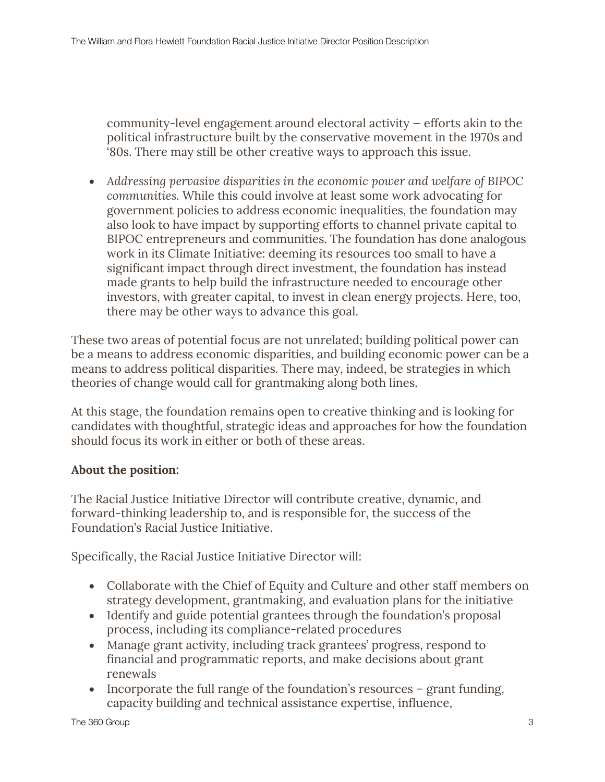community-level engagement around electoral activity — efforts akin to the political infrastructure built by the conservative movement in the 1970s and '80s. There may still be other creative ways to approach this issue.

• *Addressing pervasive disparities in the economic power and welfare of BIPOC communities.* While this could involve at least some work advocating for government policies to address economic inequalities, the foundation may also look to have impact by supporting efforts to channel private capital to BIPOC entrepreneurs and communities. The foundation has done analogous work in its Climate Initiative: deeming its resources too small to have a significant impact through direct investment, the foundation has instead made grants to help build the infrastructure needed to encourage other investors, with greater capital, to invest in clean energy projects. Here, too, there may be other ways to advance this goal.

These two areas of potential focus are not unrelated; building political power can be a means to address economic disparities, and building economic power can be a means to address political disparities. There may, indeed, be strategies in which theories of change would call for grantmaking along both lines.

At this stage, the foundation remains open to creative thinking and is looking for candidates with thoughtful, strategic ideas and approaches for how the foundation should focus its work in either or both of these areas.

#### **About the position:**

The Racial Justice Initiative Director will contribute creative, dynamic, and forward-thinking leadership to, and is responsible for, the success of the Foundation's Racial Justice Initiative.

Specifically, the Racial Justice Initiative Director will:

- Collaborate with the Chief of Equity and Culture and other staff members on strategy development, grantmaking, and evaluation plans for the initiative
- Identify and guide potential grantees through the foundation's proposal process, including its compliance-related procedures
- Manage grant activity, including track grantees' progress, respond to financial and programmatic reports, and make decisions about grant renewals
- Incorporate the full range of the foundation's resources grant funding, capacity building and technical assistance expertise, influence,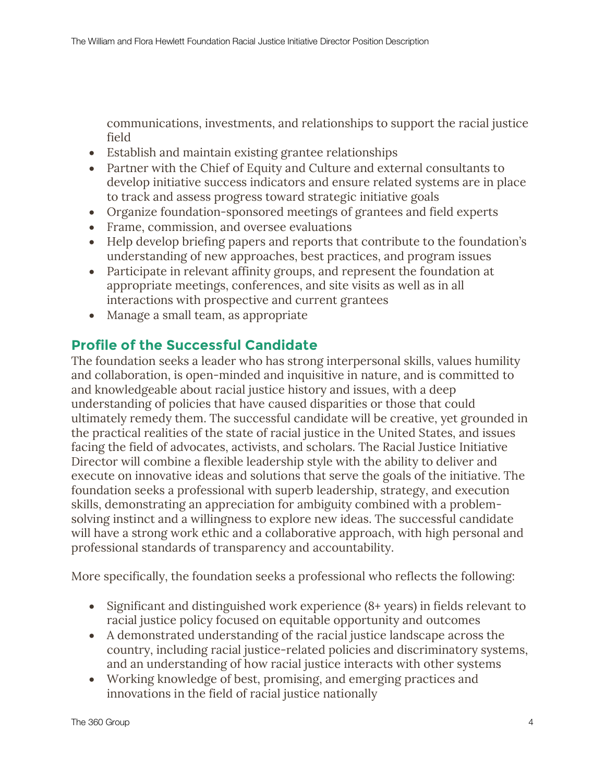communications, investments, and relationships to support the racial justice field

- Establish and maintain existing grantee relationships
- Partner with the Chief of Equity and Culture and external consultants to develop initiative success indicators and ensure related systems are in place to track and assess progress toward strategic initiative goals
- Organize foundation-sponsored meetings of grantees and field experts
- Frame, commission, and oversee evaluations
- Help develop briefing papers and reports that contribute to the foundation's understanding of new approaches, best practices, and program issues
- Participate in relevant affinity groups, and represent the foundation at appropriate meetings, conferences, and site visits as well as in all interactions with prospective and current grantees
- Manage a small team, as appropriate

## **Profile of the Successful Candidate**

The foundation seeks a leader who has strong interpersonal skills, values humility and collaboration, is open-minded and inquisitive in nature, and is committed to and knowledgeable about racial justice history and issues, with a deep understanding of policies that have caused disparities or those that could ultimately remedy them. The successful candidate will be creative, yet grounded in the practical realities of the state of racial justice in the United States, and issues facing the field of advocates, activists, and scholars. The Racial Justice Initiative Director will combine a flexible leadership style with the ability to deliver and execute on innovative ideas and solutions that serve the goals of the initiative. The foundation seeks a professional with superb leadership, strategy, and execution skills, demonstrating an appreciation for ambiguity combined with a problemsolving instinct and a willingness to explore new ideas. The successful candidate will have a strong work ethic and a collaborative approach, with high personal and professional standards of transparency and accountability.

More specifically, the foundation seeks a professional who reflects the following:

- Significant and distinguished work experience (8+ years) in fields relevant to racial justice policy focused on equitable opportunity and outcomes
- A demonstrated understanding of the racial justice landscape across the country, including racial justice-related policies and discriminatory systems, and an understanding of how racial justice interacts with other systems
- Working knowledge of best, promising, and emerging practices and innovations in the field of racial justice nationally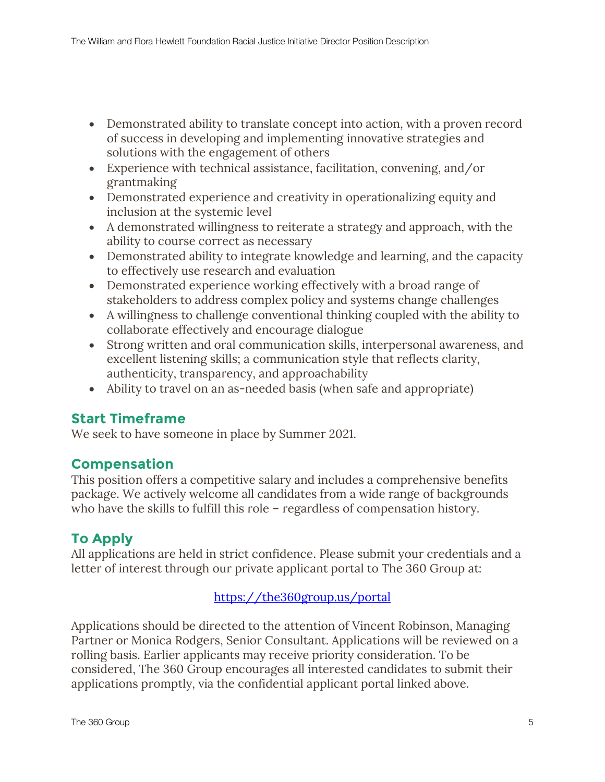- Demonstrated ability to translate concept into action, with a proven record of success in developing and implementing innovative strategies and solutions with the engagement of others
- Experience with technical assistance, facilitation, convening, and/or grantmaking
- Demonstrated experience and creativity in operationalizing equity and inclusion at the systemic level
- A demonstrated willingness to reiterate a strategy and approach, with the ability to course correct as necessary
- Demonstrated ability to integrate knowledge and learning, and the capacity to effectively use research and evaluation
- Demonstrated experience working effectively with a broad range of stakeholders to address complex policy and systems change challenges
- A willingness to challenge conventional thinking coupled with the ability to collaborate effectively and encourage dialogue
- Strong written and oral communication skills, interpersonal awareness, and excellent listening skills; a communication style that reflects clarity, authenticity, transparency, and approachability
- Ability to travel on an as-needed basis (when safe and appropriate)

## **Start Timeframe**

We seek to have someone in place by Summer 2021.

## **Compensation**

This position offers a competitive salary and includes a comprehensive benefits package. We actively welcome all candidates from a wide range of backgrounds who have the skills to fulfill this role – regardless of compensation history.

## **To Apply**

All applications are held in strict confidence. Please submit your credentials and a letter of interest through our private applicant portal to The 360 Group at:

#### https://the360group.us/portal

Applications should be directed to the attention of Vincent Robinson, Managing Partner or Monica Rodgers, Senior Consultant. Applications will be reviewed on a rolling basis. Earlier applicants may receive priority consideration. To be considered, The 360 Group encourages all interested candidates to submit their applications promptly, via the confidential applicant portal linked above.